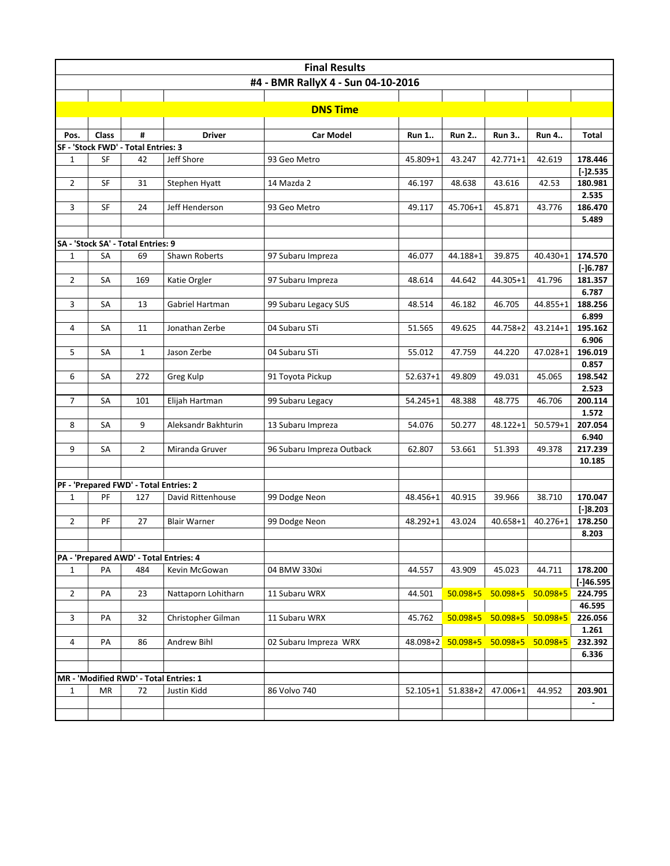| <b>Final Results</b>               |           |                                               |                     |                           |              |                   |                   |                   |                  |  |  |  |
|------------------------------------|-----------|-----------------------------------------------|---------------------|---------------------------|--------------|-------------------|-------------------|-------------------|------------------|--|--|--|
| #4 - BMR RallyX 4 - Sun 04-10-2016 |           |                                               |                     |                           |              |                   |                   |                   |                  |  |  |  |
|                                    |           |                                               |                     |                           |              |                   |                   |                   |                  |  |  |  |
|                                    |           |                                               |                     | <b>DNS Time</b>           |              |                   |                   |                   |                  |  |  |  |
|                                    |           |                                               |                     |                           |              |                   |                   |                   |                  |  |  |  |
| Pos.                               | Class     | #                                             | <b>Driver</b>       | <b>Car Model</b>          | <b>Run 1</b> | <b>Run 2</b>      | <b>Run 3</b>      | Run 4             | Total            |  |  |  |
|                                    |           | SF - 'Stock FWD' - Total Entries: 3           |                     |                           |              |                   |                   |                   |                  |  |  |  |
| 1                                  | SF        | 42                                            | Jeff Shore          | 93 Geo Metro              | 45.809+1     | 43.247            | $42.771 + 1$      | 42.619            | 178.446          |  |  |  |
|                                    |           |                                               |                     |                           |              |                   |                   |                   | $[-]2.535$       |  |  |  |
| $\overline{2}$                     | SF        | 31                                            | Stephen Hyatt       | 14 Mazda 2                | 46.197       | 48.638            | 43.616            | 42.53             | 180.981          |  |  |  |
|                                    |           |                                               |                     |                           |              |                   |                   |                   | 2.535            |  |  |  |
| 3                                  | SF        | 24                                            | Jeff Henderson      | 93 Geo Metro              | 49.117       | 45.706+1          | 45.871            | 43.776            | 186.470          |  |  |  |
|                                    |           |                                               |                     |                           |              |                   |                   |                   | 5.489            |  |  |  |
|                                    |           | SA - 'Stock SA' - Total Entries: 9            |                     |                           |              |                   |                   |                   |                  |  |  |  |
| $\mathbf{1}$                       | SA        | 69                                            | Shawn Roberts       | 97 Subaru Impreza         | 46.077       | 44.188+1          | 39.875            | 40.430+1          | 174.570          |  |  |  |
|                                    |           |                                               |                     |                           |              |                   |                   |                   | $[-]6.787$       |  |  |  |
| $\overline{2}$                     | SA        | 169                                           | Katie Orgler        | 97 Subaru Impreza         | 48.614       | 44.642            | 44.305+1          | 41.796            | 181.357          |  |  |  |
|                                    |           |                                               |                     |                           |              |                   |                   |                   | 6.787            |  |  |  |
| 3                                  | SA        | 13                                            | Gabriel Hartman     | 99 Subaru Legacy SUS      | 48.514       | 46.182            | 46.705            | 44.855+1          | 188.256          |  |  |  |
|                                    |           |                                               |                     |                           |              |                   |                   |                   | 6.899            |  |  |  |
| 4                                  | SA        | 11                                            | Jonathan Zerbe      | 04 Subaru STi             | 51.565       | 49.625            | 44.758+2          | 43.214+1          | 195.162          |  |  |  |
|                                    |           |                                               |                     |                           |              |                   |                   |                   | 6.906            |  |  |  |
| 5                                  | SA        | $\mathbf{1}$                                  | Jason Zerbe         | 04 Subaru STi             | 55.012       | 47.759            | 44.220            | 47.028+1          | 196.019          |  |  |  |
|                                    |           |                                               |                     |                           |              |                   |                   |                   | 0.857            |  |  |  |
| 6                                  | SA        | 272                                           | Greg Kulp           | 91 Toyota Pickup          | $52.637 + 1$ | 49.809            | 49.031            | 45.065            | 198.542          |  |  |  |
|                                    |           |                                               |                     |                           |              |                   |                   |                   | 2.523<br>200.114 |  |  |  |
| $\overline{7}$                     | SA        | 101                                           | Elijah Hartman      | 99 Subaru Legacy          | 54.245+1     | 48.388            | 48.775            | 46.706            | 1.572            |  |  |  |
| 8                                  | SA        | 9                                             | Aleksandr Bakhturin | 13 Subaru Impreza         | 54.076       | 50.277            | 48.122+1          | $50.579 + 1$      | 207.054          |  |  |  |
|                                    |           |                                               |                     |                           |              |                   |                   |                   | 6.940            |  |  |  |
| 9                                  | SA        | $\overline{2}$                                | Miranda Gruver      | 96 Subaru Impreza Outback | 62.807       | 53.661            | 51.393            | 49.378            | 217.239          |  |  |  |
|                                    |           |                                               |                     |                           |              |                   |                   |                   | 10.185           |  |  |  |
|                                    |           |                                               |                     |                           |              |                   |                   |                   |                  |  |  |  |
|                                    |           | PF - 'Prepared FWD' - Total Entries: 2        |                     |                           |              |                   |                   |                   |                  |  |  |  |
| $\mathbf 1$                        | PF        | 127                                           | David Rittenhouse   | 99 Dodge Neon             | 48.456+1     | 40.915            | 39.966            | 38.710            | 170.047          |  |  |  |
|                                    |           |                                               |                     |                           |              |                   |                   |                   | $[-]8.203$       |  |  |  |
| $\overline{2}$                     | PF        | 27                                            | <b>Blair Warner</b> | 99 Dodge Neon             | 48.292+1     | 43.024            | 40.658+1          | $40.276 + 1$      | 178.250          |  |  |  |
|                                    |           |                                               |                     |                           |              |                   |                   |                   | 8.203            |  |  |  |
|                                    |           |                                               |                     |                           |              |                   |                   |                   |                  |  |  |  |
| 1                                  | <b>PA</b> | PA - 'Prepared AWD' - Total Entries: 4<br>484 | Kevin McGowan       | 04 BMW 330xi              | 44.557       | 43.909            | 45.023            | 44.711            | 178.200          |  |  |  |
|                                    |           |                                               |                     |                           |              |                   |                   |                   | $[-]46.595$      |  |  |  |
| $\overline{2}$                     | PA        | 23                                            | Nattaporn Lohitharn | 11 Subaru WRX             | 44.501       |                   | 50.098+5 50.098+5 | $50.098 + 5$      | 224.795          |  |  |  |
|                                    |           |                                               |                     |                           |              |                   |                   |                   | 46.595           |  |  |  |
| 3                                  | PA        | 32                                            | Christopher Gilman  | 11 Subaru WRX             | 45.762       |                   | 50.098+5 50.098+5 | $50.098 + 5$      | 226.056          |  |  |  |
|                                    |           |                                               |                     |                           |              |                   |                   |                   | 1.261            |  |  |  |
| 4                                  | PA        | 86                                            | Andrew Bihl         | 02 Subaru Impreza WRX     |              | 48.098+2 50.098+5 |                   | 50.098+5 50.098+5 | 232.392          |  |  |  |
|                                    |           |                                               |                     |                           |              |                   |                   |                   | 6.336            |  |  |  |
|                                    |           |                                               |                     |                           |              |                   |                   |                   |                  |  |  |  |
|                                    |           | MR - 'Modified RWD' - Total Entries: 1        |                     |                           |              |                   |                   |                   |                  |  |  |  |
| $\mathbf{1}$                       | MR        | 72                                            | Justin Kidd         | 86 Volvo 740              | $52.105 + 1$ | $51.838 + 2$      | 47.006+1          | 44.952            | 203.901          |  |  |  |
|                                    |           |                                               |                     |                           |              |                   |                   |                   |                  |  |  |  |
|                                    |           |                                               |                     |                           |              |                   |                   |                   |                  |  |  |  |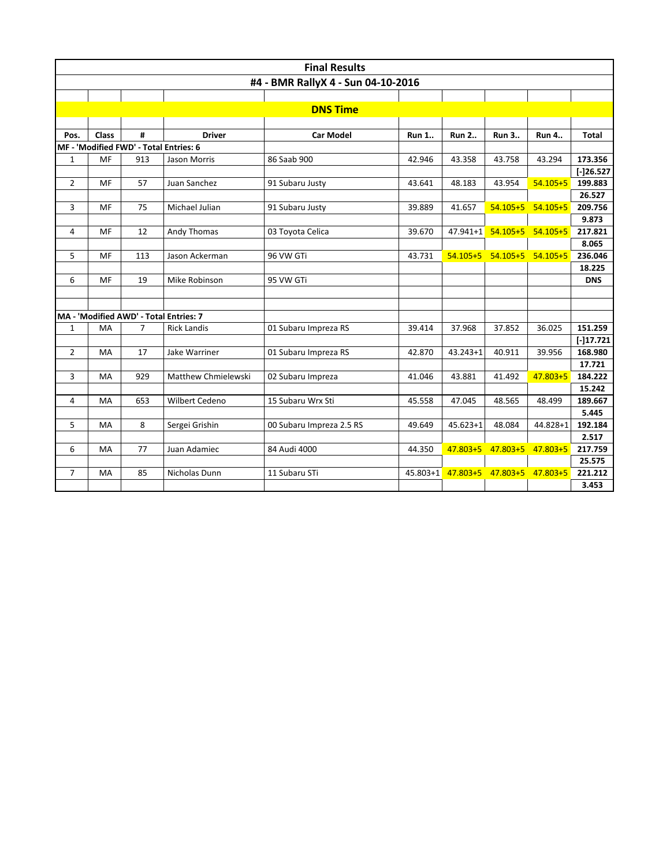| #4 - BMR RallyX 4 - Sun 04-10-2016<br><b>DNS Time</b><br><b>Class</b><br>#<br><b>Driver</b><br><b>Car Model</b><br><b>Run 1</b><br><b>Run 2</b><br><b>Run 3</b><br><b>Total</b><br>Pos.<br><b>Run 4</b><br>MF - 'Modified FWD' - Total Entries: 6<br>MF<br>913<br>86 Saab 900<br>173.356<br>$\mathbf{1}$<br>42.946<br>43.358<br>43.758<br>43.294<br>Jason Morris<br>$[-]26.527$<br>199.883<br>$\overline{2}$<br>MF<br>57<br>$54.105 + 5$<br>Juan Sanchez<br>91 Subaru Justy<br>43.641<br>48.183<br>43.954<br>26.527<br>3<br>75<br>$54.105 + 5$<br>$54.105 + 5$<br>209.756<br>MF<br>Michael Julian<br>91 Subaru Justy<br>39.889<br>41.657<br>9.873<br>12<br>47.941+1 54.105+5<br>MF<br>Andy Thomas<br>03 Toyota Celica<br>$54.105 + 5$<br>217.821<br>4<br>39.670<br>8.065<br>5<br>54.105+5 54.105+5 54.105+5<br>236.046<br>MF<br>113<br>Jason Ackerman<br>96 VW GTi<br>43.731<br>18.225<br>6<br>MF<br>19<br>Mike Robinson<br>95 VW GTi<br><b>DNS</b><br>MA - 'Modified AWD' - Total Entries: 7<br>151.259<br>7<br>01 Subaru Impreza RS<br>37.968<br>37.852<br>36.025<br>1<br>MA<br><b>Rick Landis</b><br>39.414<br>$[-]17.721$<br>$\overline{2}$<br>17<br>01 Subaru Impreza RS<br>40.911<br>39.956<br>168.980<br>MA<br>Jake Warriner<br>42.870<br>43.243+1<br>17.721<br>3<br>929<br>Matthew Chmielewski<br>43.881<br>47.803+5<br>MA<br>02 Subaru Impreza<br>41.046<br>41.492<br>184.222<br>15.242<br>653<br>Wilbert Cedeno<br>15 Subaru Wrx Sti<br>47.045<br>48.565<br>189.667<br>4<br>MA<br>45.558<br>48.499<br>5.445<br>8<br>5<br>Sergei Grishin<br>$45.623 + 1$<br>48.084<br>192.184<br>MA<br>00 Subaru Impreza 2.5 RS<br>49.649<br>44.828+1<br>2.517<br>$47.803 + 5$<br>$47.803 + 5$<br>$47.803 + 5$<br>6<br>77<br>Juan Adamiec<br>84 Audi 4000<br>217.759<br>MA<br>44.350<br>25.575<br>47.803+5 47.803+5 47.803+5<br>7<br>85<br>Nicholas Dunn<br>11 Subaru STi<br>$45.803 + 1$<br>221.212<br>MA | <b>Final Results</b> |  |  |  |  |  |  |  |  |       |  |  |  |
|-----------------------------------------------------------------------------------------------------------------------------------------------------------------------------------------------------------------------------------------------------------------------------------------------------------------------------------------------------------------------------------------------------------------------------------------------------------------------------------------------------------------------------------------------------------------------------------------------------------------------------------------------------------------------------------------------------------------------------------------------------------------------------------------------------------------------------------------------------------------------------------------------------------------------------------------------------------------------------------------------------------------------------------------------------------------------------------------------------------------------------------------------------------------------------------------------------------------------------------------------------------------------------------------------------------------------------------------------------------------------------------------------------------------------------------------------------------------------------------------------------------------------------------------------------------------------------------------------------------------------------------------------------------------------------------------------------------------------------------------------------------------------------------------------------------------------------------------------------------------------------------------------------|----------------------|--|--|--|--|--|--|--|--|-------|--|--|--|
|                                                                                                                                                                                                                                                                                                                                                                                                                                                                                                                                                                                                                                                                                                                                                                                                                                                                                                                                                                                                                                                                                                                                                                                                                                                                                                                                                                                                                                                                                                                                                                                                                                                                                                                                                                                                                                                                                                     |                      |  |  |  |  |  |  |  |  |       |  |  |  |
|                                                                                                                                                                                                                                                                                                                                                                                                                                                                                                                                                                                                                                                                                                                                                                                                                                                                                                                                                                                                                                                                                                                                                                                                                                                                                                                                                                                                                                                                                                                                                                                                                                                                                                                                                                                                                                                                                                     |                      |  |  |  |  |  |  |  |  |       |  |  |  |
|                                                                                                                                                                                                                                                                                                                                                                                                                                                                                                                                                                                                                                                                                                                                                                                                                                                                                                                                                                                                                                                                                                                                                                                                                                                                                                                                                                                                                                                                                                                                                                                                                                                                                                                                                                                                                                                                                                     |                      |  |  |  |  |  |  |  |  |       |  |  |  |
|                                                                                                                                                                                                                                                                                                                                                                                                                                                                                                                                                                                                                                                                                                                                                                                                                                                                                                                                                                                                                                                                                                                                                                                                                                                                                                                                                                                                                                                                                                                                                                                                                                                                                                                                                                                                                                                                                                     |                      |  |  |  |  |  |  |  |  |       |  |  |  |
|                                                                                                                                                                                                                                                                                                                                                                                                                                                                                                                                                                                                                                                                                                                                                                                                                                                                                                                                                                                                                                                                                                                                                                                                                                                                                                                                                                                                                                                                                                                                                                                                                                                                                                                                                                                                                                                                                                     |                      |  |  |  |  |  |  |  |  |       |  |  |  |
|                                                                                                                                                                                                                                                                                                                                                                                                                                                                                                                                                                                                                                                                                                                                                                                                                                                                                                                                                                                                                                                                                                                                                                                                                                                                                                                                                                                                                                                                                                                                                                                                                                                                                                                                                                                                                                                                                                     |                      |  |  |  |  |  |  |  |  |       |  |  |  |
|                                                                                                                                                                                                                                                                                                                                                                                                                                                                                                                                                                                                                                                                                                                                                                                                                                                                                                                                                                                                                                                                                                                                                                                                                                                                                                                                                                                                                                                                                                                                                                                                                                                                                                                                                                                                                                                                                                     |                      |  |  |  |  |  |  |  |  |       |  |  |  |
|                                                                                                                                                                                                                                                                                                                                                                                                                                                                                                                                                                                                                                                                                                                                                                                                                                                                                                                                                                                                                                                                                                                                                                                                                                                                                                                                                                                                                                                                                                                                                                                                                                                                                                                                                                                                                                                                                                     |                      |  |  |  |  |  |  |  |  |       |  |  |  |
|                                                                                                                                                                                                                                                                                                                                                                                                                                                                                                                                                                                                                                                                                                                                                                                                                                                                                                                                                                                                                                                                                                                                                                                                                                                                                                                                                                                                                                                                                                                                                                                                                                                                                                                                                                                                                                                                                                     |                      |  |  |  |  |  |  |  |  |       |  |  |  |
|                                                                                                                                                                                                                                                                                                                                                                                                                                                                                                                                                                                                                                                                                                                                                                                                                                                                                                                                                                                                                                                                                                                                                                                                                                                                                                                                                                                                                                                                                                                                                                                                                                                                                                                                                                                                                                                                                                     |                      |  |  |  |  |  |  |  |  |       |  |  |  |
|                                                                                                                                                                                                                                                                                                                                                                                                                                                                                                                                                                                                                                                                                                                                                                                                                                                                                                                                                                                                                                                                                                                                                                                                                                                                                                                                                                                                                                                                                                                                                                                                                                                                                                                                                                                                                                                                                                     |                      |  |  |  |  |  |  |  |  |       |  |  |  |
|                                                                                                                                                                                                                                                                                                                                                                                                                                                                                                                                                                                                                                                                                                                                                                                                                                                                                                                                                                                                                                                                                                                                                                                                                                                                                                                                                                                                                                                                                                                                                                                                                                                                                                                                                                                                                                                                                                     |                      |  |  |  |  |  |  |  |  |       |  |  |  |
|                                                                                                                                                                                                                                                                                                                                                                                                                                                                                                                                                                                                                                                                                                                                                                                                                                                                                                                                                                                                                                                                                                                                                                                                                                                                                                                                                                                                                                                                                                                                                                                                                                                                                                                                                                                                                                                                                                     |                      |  |  |  |  |  |  |  |  |       |  |  |  |
|                                                                                                                                                                                                                                                                                                                                                                                                                                                                                                                                                                                                                                                                                                                                                                                                                                                                                                                                                                                                                                                                                                                                                                                                                                                                                                                                                                                                                                                                                                                                                                                                                                                                                                                                                                                                                                                                                                     |                      |  |  |  |  |  |  |  |  |       |  |  |  |
|                                                                                                                                                                                                                                                                                                                                                                                                                                                                                                                                                                                                                                                                                                                                                                                                                                                                                                                                                                                                                                                                                                                                                                                                                                                                                                                                                                                                                                                                                                                                                                                                                                                                                                                                                                                                                                                                                                     |                      |  |  |  |  |  |  |  |  |       |  |  |  |
|                                                                                                                                                                                                                                                                                                                                                                                                                                                                                                                                                                                                                                                                                                                                                                                                                                                                                                                                                                                                                                                                                                                                                                                                                                                                                                                                                                                                                                                                                                                                                                                                                                                                                                                                                                                                                                                                                                     |                      |  |  |  |  |  |  |  |  |       |  |  |  |
|                                                                                                                                                                                                                                                                                                                                                                                                                                                                                                                                                                                                                                                                                                                                                                                                                                                                                                                                                                                                                                                                                                                                                                                                                                                                                                                                                                                                                                                                                                                                                                                                                                                                                                                                                                                                                                                                                                     |                      |  |  |  |  |  |  |  |  |       |  |  |  |
|                                                                                                                                                                                                                                                                                                                                                                                                                                                                                                                                                                                                                                                                                                                                                                                                                                                                                                                                                                                                                                                                                                                                                                                                                                                                                                                                                                                                                                                                                                                                                                                                                                                                                                                                                                                                                                                                                                     |                      |  |  |  |  |  |  |  |  |       |  |  |  |
|                                                                                                                                                                                                                                                                                                                                                                                                                                                                                                                                                                                                                                                                                                                                                                                                                                                                                                                                                                                                                                                                                                                                                                                                                                                                                                                                                                                                                                                                                                                                                                                                                                                                                                                                                                                                                                                                                                     |                      |  |  |  |  |  |  |  |  |       |  |  |  |
|                                                                                                                                                                                                                                                                                                                                                                                                                                                                                                                                                                                                                                                                                                                                                                                                                                                                                                                                                                                                                                                                                                                                                                                                                                                                                                                                                                                                                                                                                                                                                                                                                                                                                                                                                                                                                                                                                                     |                      |  |  |  |  |  |  |  |  |       |  |  |  |
|                                                                                                                                                                                                                                                                                                                                                                                                                                                                                                                                                                                                                                                                                                                                                                                                                                                                                                                                                                                                                                                                                                                                                                                                                                                                                                                                                                                                                                                                                                                                                                                                                                                                                                                                                                                                                                                                                                     |                      |  |  |  |  |  |  |  |  |       |  |  |  |
|                                                                                                                                                                                                                                                                                                                                                                                                                                                                                                                                                                                                                                                                                                                                                                                                                                                                                                                                                                                                                                                                                                                                                                                                                                                                                                                                                                                                                                                                                                                                                                                                                                                                                                                                                                                                                                                                                                     |                      |  |  |  |  |  |  |  |  |       |  |  |  |
|                                                                                                                                                                                                                                                                                                                                                                                                                                                                                                                                                                                                                                                                                                                                                                                                                                                                                                                                                                                                                                                                                                                                                                                                                                                                                                                                                                                                                                                                                                                                                                                                                                                                                                                                                                                                                                                                                                     |                      |  |  |  |  |  |  |  |  |       |  |  |  |
|                                                                                                                                                                                                                                                                                                                                                                                                                                                                                                                                                                                                                                                                                                                                                                                                                                                                                                                                                                                                                                                                                                                                                                                                                                                                                                                                                                                                                                                                                                                                                                                                                                                                                                                                                                                                                                                                                                     |                      |  |  |  |  |  |  |  |  |       |  |  |  |
|                                                                                                                                                                                                                                                                                                                                                                                                                                                                                                                                                                                                                                                                                                                                                                                                                                                                                                                                                                                                                                                                                                                                                                                                                                                                                                                                                                                                                                                                                                                                                                                                                                                                                                                                                                                                                                                                                                     |                      |  |  |  |  |  |  |  |  |       |  |  |  |
|                                                                                                                                                                                                                                                                                                                                                                                                                                                                                                                                                                                                                                                                                                                                                                                                                                                                                                                                                                                                                                                                                                                                                                                                                                                                                                                                                                                                                                                                                                                                                                                                                                                                                                                                                                                                                                                                                                     |                      |  |  |  |  |  |  |  |  |       |  |  |  |
|                                                                                                                                                                                                                                                                                                                                                                                                                                                                                                                                                                                                                                                                                                                                                                                                                                                                                                                                                                                                                                                                                                                                                                                                                                                                                                                                                                                                                                                                                                                                                                                                                                                                                                                                                                                                                                                                                                     |                      |  |  |  |  |  |  |  |  |       |  |  |  |
|                                                                                                                                                                                                                                                                                                                                                                                                                                                                                                                                                                                                                                                                                                                                                                                                                                                                                                                                                                                                                                                                                                                                                                                                                                                                                                                                                                                                                                                                                                                                                                                                                                                                                                                                                                                                                                                                                                     |                      |  |  |  |  |  |  |  |  |       |  |  |  |
|                                                                                                                                                                                                                                                                                                                                                                                                                                                                                                                                                                                                                                                                                                                                                                                                                                                                                                                                                                                                                                                                                                                                                                                                                                                                                                                                                                                                                                                                                                                                                                                                                                                                                                                                                                                                                                                                                                     |                      |  |  |  |  |  |  |  |  |       |  |  |  |
|                                                                                                                                                                                                                                                                                                                                                                                                                                                                                                                                                                                                                                                                                                                                                                                                                                                                                                                                                                                                                                                                                                                                                                                                                                                                                                                                                                                                                                                                                                                                                                                                                                                                                                                                                                                                                                                                                                     |                      |  |  |  |  |  |  |  |  |       |  |  |  |
|                                                                                                                                                                                                                                                                                                                                                                                                                                                                                                                                                                                                                                                                                                                                                                                                                                                                                                                                                                                                                                                                                                                                                                                                                                                                                                                                                                                                                                                                                                                                                                                                                                                                                                                                                                                                                                                                                                     |                      |  |  |  |  |  |  |  |  |       |  |  |  |
|                                                                                                                                                                                                                                                                                                                                                                                                                                                                                                                                                                                                                                                                                                                                                                                                                                                                                                                                                                                                                                                                                                                                                                                                                                                                                                                                                                                                                                                                                                                                                                                                                                                                                                                                                                                                                                                                                                     |                      |  |  |  |  |  |  |  |  |       |  |  |  |
|                                                                                                                                                                                                                                                                                                                                                                                                                                                                                                                                                                                                                                                                                                                                                                                                                                                                                                                                                                                                                                                                                                                                                                                                                                                                                                                                                                                                                                                                                                                                                                                                                                                                                                                                                                                                                                                                                                     |                      |  |  |  |  |  |  |  |  | 3.453 |  |  |  |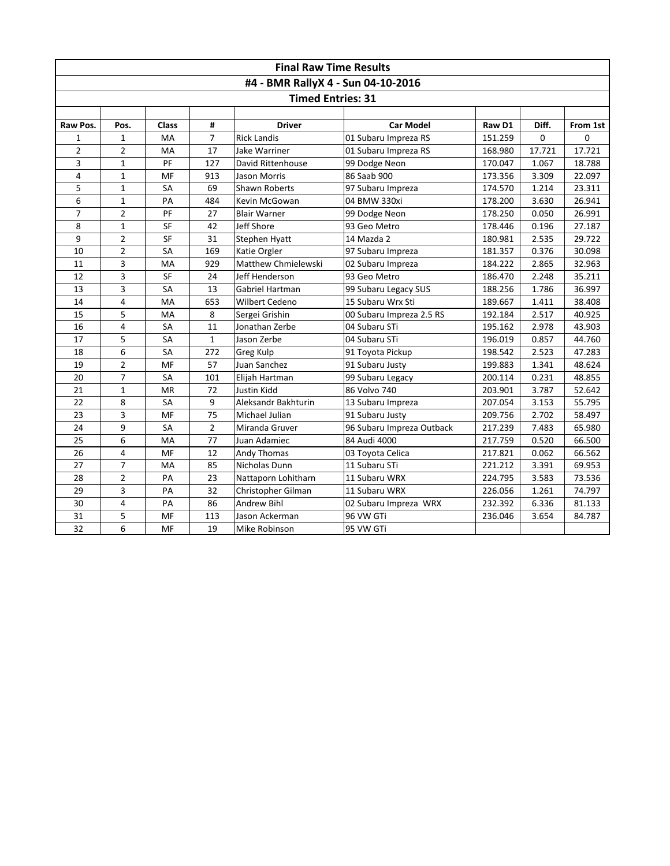| <b>Final Raw Time Results</b>      |                |           |                |                            |                           |         |        |          |  |  |  |
|------------------------------------|----------------|-----------|----------------|----------------------------|---------------------------|---------|--------|----------|--|--|--|
| #4 - BMR RallyX 4 - Sun 04-10-2016 |                |           |                |                            |                           |         |        |          |  |  |  |
| <b>Timed Entries: 31</b>           |                |           |                |                            |                           |         |        |          |  |  |  |
|                                    |                |           |                |                            |                           |         |        |          |  |  |  |
| Raw Pos.                           | Pos.           | Class     | #              | <b>Driver</b>              | <b>Car Model</b>          | Raw D1  | Diff.  | From 1st |  |  |  |
| 1                                  | $\mathbf{1}$   | MA        | $\overline{7}$ | <b>Rick Landis</b>         | 01 Subaru Impreza RS      | 151.259 | 0      | 0        |  |  |  |
| $\overline{2}$                     | $\overline{2}$ | MA        | 17             | Jake Warriner              | 01 Subaru Impreza RS      | 168.980 | 17.721 | 17.721   |  |  |  |
| 3                                  | $\mathbf{1}$   | PF        | 127            | David Rittenhouse          | 99 Dodge Neon             | 170.047 | 1.067  | 18.788   |  |  |  |
| 4                                  | $\mathbf{1}$   | MF        | 913            | <b>Jason Morris</b>        | 86 Saab 900               | 173.356 | 3.309  | 22.097   |  |  |  |
| 5                                  | $\mathbf{1}$   | SA        | 69             | <b>Shawn Roberts</b>       | 97 Subaru Impreza         | 174.570 | 1.214  | 23.311   |  |  |  |
| 6                                  | $\mathbf{1}$   | PA        | 484            | Kevin McGowan              | 04 BMW 330xi              | 178.200 | 3.630  | 26.941   |  |  |  |
| $\overline{7}$                     | $\overline{2}$ | PF        | 27             | <b>Blair Warner</b>        | 99 Dodge Neon             | 178.250 | 0.050  | 26.991   |  |  |  |
| 8                                  | $\mathbf{1}$   | <b>SF</b> | 42             | Jeff Shore                 | 93 Geo Metro              | 178.446 | 0.196  | 27.187   |  |  |  |
| 9                                  | $\overline{2}$ | SF        | 31             | Stephen Hyatt              | 14 Mazda 2                | 180.981 | 2.535  | 29.722   |  |  |  |
| 10                                 | 2              | <b>SA</b> | 169            | Katie Orgler               | 97 Subaru Impreza         | 181.357 | 0.376  | 30.098   |  |  |  |
| 11                                 | 3              | <b>MA</b> | 929            | <b>Matthew Chmielewski</b> | 02 Subaru Impreza         | 184.222 | 2.865  | 32.963   |  |  |  |
| 12                                 | 3              | <b>SF</b> | 24             | Jeff Henderson             | 93 Geo Metro              | 186.470 | 2.248  | 35.211   |  |  |  |
| 13                                 | 3              | <b>SA</b> | 13             | Gabriel Hartman            | 99 Subaru Legacy SUS      | 188.256 | 1.786  | 36.997   |  |  |  |
| 14                                 | 4              | MA        | 653            | Wilbert Cedeno             | 15 Subaru Wrx Sti         | 189.667 | 1.411  | 38.408   |  |  |  |
| 15                                 | 5              | MA        | 8              | Sergei Grishin             | 00 Subaru Impreza 2.5 RS  | 192.184 | 2.517  | 40.925   |  |  |  |
| 16                                 | 4              | SA        | 11             | Jonathan Zerbe             | 04 Subaru STi             | 195.162 | 2.978  | 43.903   |  |  |  |
| 17                                 | 5              | SA        | $\mathbf{1}$   | Jason Zerbe                | 04 Subaru STi             | 196.019 | 0.857  | 44.760   |  |  |  |
| 18                                 | 6              | SA        | 272            | Greg Kulp                  | 91 Toyota Pickup          | 198.542 | 2.523  | 47.283   |  |  |  |
| 19                                 | $\overline{2}$ | MF        | 57             | Juan Sanchez               | 91 Subaru Justy           | 199.883 | 1.341  | 48.624   |  |  |  |
| 20                                 | $\overline{7}$ | <b>SA</b> | 101            | Elijah Hartman             | 99 Subaru Legacy          | 200.114 | 0.231  | 48.855   |  |  |  |
| 21                                 | $\mathbf{1}$   | <b>MR</b> | 72             | <b>Justin Kidd</b>         | 86 Volvo 740              | 203.901 | 3.787  | 52.642   |  |  |  |
| 22                                 | 8              | <b>SA</b> | 9              | Aleksandr Bakhturin        | 13 Subaru Impreza         | 207.054 | 3.153  | 55.795   |  |  |  |
| 23                                 | 3              | MF        | 75             | Michael Julian             | 91 Subaru Justy           | 209.756 | 2.702  | 58.497   |  |  |  |
| 24                                 | 9              | <b>SA</b> | $\overline{2}$ | Miranda Gruver             | 96 Subaru Impreza Outback | 217.239 | 7.483  | 65.980   |  |  |  |
| 25                                 | 6              | MA        | 77             | Juan Adamiec               | 84 Audi 4000              | 217.759 | 0.520  | 66.500   |  |  |  |
| 26                                 | 4              | MF        | 12             | Andy Thomas                | 03 Toyota Celica          | 217.821 | 0.062  | 66.562   |  |  |  |
| 27                                 | $\overline{7}$ | MA        | 85             | Nicholas Dunn              | 11 Subaru STi             | 221.212 | 3.391  | 69.953   |  |  |  |
| 28                                 | $\overline{2}$ | PA        | 23             | Nattaporn Lohitharn        | 11 Subaru WRX             | 224.795 | 3.583  | 73.536   |  |  |  |
| 29                                 | 3              | PA        | 32             | Christopher Gilman         | 11 Subaru WRX             | 226.056 | 1.261  | 74.797   |  |  |  |
| 30                                 | 4              | PA        | 86             | Andrew Bihl                | 02 Subaru Impreza WRX     | 232.392 | 6.336  | 81.133   |  |  |  |
| 31                                 | 5              | MF        | 113            | Jason Ackerman             | 96 VW GTi                 | 236.046 | 3.654  | 84.787   |  |  |  |
| 32                                 | 6              | MF        | 19             | Mike Robinson              | 95 VW GTi                 |         |        |          |  |  |  |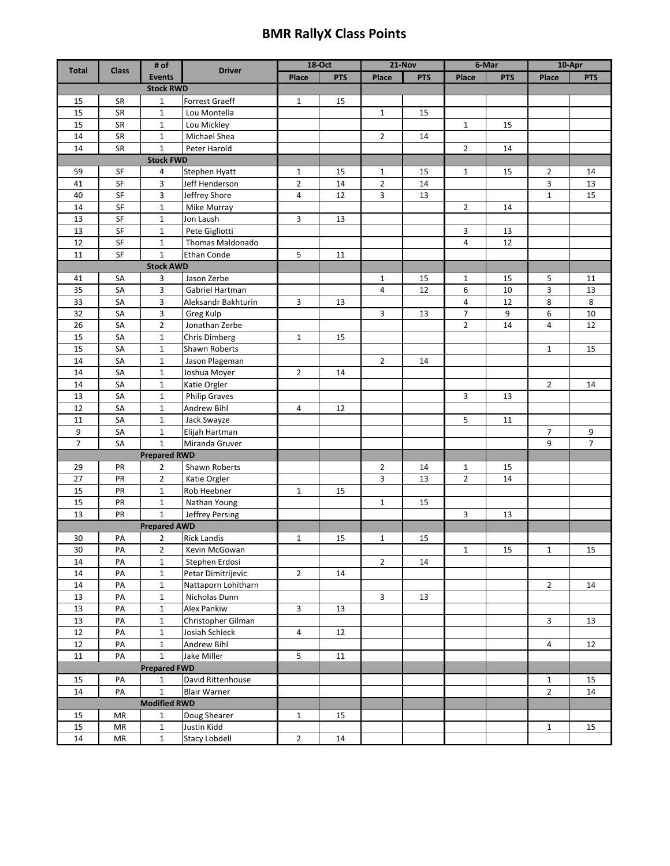## **BMR RallyX Class Points**

|                     |              | # of                         |                                           | <b>18-Oct</b>  |            | $21-Nov$       |            | 6-Mar          |            | $10 - Apr$     |                |
|---------------------|--------------|------------------------------|-------------------------------------------|----------------|------------|----------------|------------|----------------|------------|----------------|----------------|
| <b>Total</b>        | <b>Class</b> | <b>Events</b>                | <b>Driver</b>                             | Place          | <b>PTS</b> | Place          | <b>PTS</b> | Place          | <b>PTS</b> | Place          | <b>PTS</b>     |
| <b>Stock RWD</b>    |              |                              |                                           |                |            |                |            |                |            |                |                |
| 15                  | <b>SR</b>    | $\mathbf{1}$                 | Forrest Graeff                            | $\mathbf{1}$   | 15         |                |            |                |            |                |                |
| 15                  | SR           | $\mathbf 1$                  | Lou Montella                              |                |            | $\mathbf{1}$   | 15         |                |            |                |                |
| 15                  | SR           | $\mathbf{1}$                 | Lou Mickley                               |                |            |                |            | $\mathbf{1}$   | 15         |                |                |
| 14                  | SR           | $\mathbf{1}$                 | Michael Shea                              |                |            | $\overline{2}$ | 14         |                |            |                |                |
| 14                  | SR           | $\mathbf{1}$                 | Peter Harold                              |                |            |                |            | $\overline{2}$ | 14         |                |                |
|                     |              | <b>Stock FWD</b>             |                                           |                |            |                |            |                |            |                |                |
| 59                  | SF           | 4                            | Stephen Hyatt                             | 1              | 15         | $\mathbf{1}$   | 15         | $\mathbf{1}$   | 15         | $\overline{2}$ | 14             |
| 41                  | SF           | 3                            | Jeff Henderson                            | $\overline{2}$ | 14         | $\overline{2}$ | 14         |                |            | 3              | 13             |
| 40                  | SF           | 3                            | Jeffrey Shore                             | 4              | 12         | 3              | 13         |                |            | $\mathbf{1}$   | 15             |
| 14                  | SF           | $\mathbf{1}$                 | Mike Murray                               |                |            |                |            | 2              | 14         |                |                |
| 13                  | SF           | $\mathbf 1$                  | Jon Laush                                 | 3              | 13         |                |            |                |            |                |                |
| 13                  | SF           | $\mathbf{1}$                 | Pete Gigliotti                            |                |            |                |            | 3              | 13         |                |                |
| 12                  | SF           | $\mathbf{1}$                 | Thomas Maldonado                          |                |            |                |            | 4              | 12         |                |                |
| 11                  | SF           | $\mathbf{1}$                 | Ethan Conde                               | 5              | 11         |                |            |                |            |                |                |
|                     |              | <b>Stock AWD</b>             |                                           |                |            |                |            |                |            |                |                |
| 41                  | SA           | 3                            | Jason Zerbe                               |                |            | 1              | 15         | 1              | 15         | 5              | 11             |
| 35                  | SA           | 3                            | Gabriel Hartman                           |                |            | 4              | 12         | 6              | 10         | 3              | 13             |
| 33                  | SA           | 3                            | Aleksandr Bakhturin                       | 3              | 13         |                |            | 4              | 12         | 8              | 8              |
| 32                  | SA           | 3                            | Greg Kulp                                 |                |            | 3              | 13         | 7              | 9          | 6              | 10             |
| 26                  | SA           | $\overline{2}$               | Jonathan Zerbe                            |                |            |                |            | 2              | 14         | 4              | 12             |
| 15                  | SA           | $\mathbf 1$                  | Chris Dimberg                             | $\mathbf 1$    | 15         |                |            |                |            |                |                |
| 15                  | SA           | $\mathbf{1}$                 | Shawn Roberts                             |                |            |                |            |                |            | $\mathbf{1}$   | 15             |
| 14                  | SA           | $\mathbf{1}$                 | Jason Plageman                            |                |            | $\overline{2}$ | 14         |                |            |                |                |
| 14                  | SA           | 1                            | Joshua Moyer                              | $\overline{2}$ | 14         |                |            |                |            |                |                |
| 14                  | SA           | $\mathbf{1}$                 | Katie Orgler                              |                |            |                |            |                |            | $\overline{2}$ | 14             |
| 13                  | SA           | $\mathbf 1$                  | <b>Philip Graves</b>                      |                |            |                |            | 3              | 13         |                |                |
| 12                  | SA           | $\mathbf{1}$                 | Andrew Bihl                               | $\overline{4}$ | 12         |                |            |                |            |                |                |
| 11                  | SA           | $\mathbf{1}$                 | Jack Swayze                               |                |            |                |            | 5              | 11         |                |                |
| 9                   | SA           | $\mathbf{1}$                 | Elijah Hartman                            |                |            |                |            |                |            | 7              | 9              |
| $\overline{7}$      | SA           | $\mathbf{1}$                 | Miranda Gruver                            |                |            |                |            |                |            | 9              | $\overline{7}$ |
|                     |              | <b>Prepared RWD</b>          |                                           |                |            |                |            |                |            |                |                |
| 29                  | PR           | $\overline{2}$               | Shawn Roberts                             |                |            | $\overline{2}$ | 14         | $\mathbf{1}$   | 15         |                |                |
| 27                  | PR           | $\overline{2}$               | Katie Orgler                              |                |            | 3              | 13         | $\overline{2}$ | 14         |                |                |
| 15                  | PR           | $\mathbf{1}$                 | Rob Heebner                               | $\mathbf{1}$   | 15         |                |            |                |            |                |                |
| 15                  | PR           | $\mathbf{1}$                 | Nathan Young                              |                |            | $\mathbf{1}$   | 15         |                |            |                |                |
| 13                  | PR           | $\mathbf{1}$                 | Jeffrey Persing                           |                |            |                |            | 3              | 13         |                |                |
|                     |              | <b>Prepared AWD</b>          |                                           |                |            |                |            |                |            |                |                |
| 30                  | PA           | $\overline{2}$               | <b>Rick Landis</b>                        | $\mathbf{1}$   | 15         | $\mathbf{1}$   | 15         |                |            |                |                |
| 30<br>14            | PA           | 2                            | Kevin McGowan                             |                |            |                |            | $\mathbf{1}$   | 15         | $\mathbf{1}$   | 15             |
| 14                  | PA<br>PA     | $\mathbf{1}$<br>$\mathbf{1}$ | Stephen Erdosi                            | $\overline{2}$ |            | $\overline{2}$ | 14         |                |            |                |                |
| $14\,$              | PA           |                              | Petar Dimitrijevic<br>Nattaporn Lohitharn |                | 14         |                |            |                |            | $\overline{2}$ |                |
| 13                  | PA           | $\mathbf{1}$<br>$\mathbf{1}$ | Nicholas Dunn                             |                |            | 3              | 13         |                |            |                | 14             |
| 13                  | PA           | $\mathbf{1}$                 | Alex Pankiw                               | 3              | 13         |                |            |                |            |                |                |
| 13                  | PA           | $\mathbf{1}$                 | Christopher Gilman                        |                |            |                |            |                |            | $\mathbf{3}$   | 13             |
| 12                  | PA           | $\mathbf{1}$                 | Josiah Schieck                            | 4              | 12         |                |            |                |            |                |                |
| 12                  | PA           | $\mathbf{1}$                 | Andrew Bihl                               |                |            |                |            |                |            | $\overline{4}$ | 12             |
| 11                  | PA           | $\mathbf{1}$                 | Jake Miller                               | 5              | 11         |                |            |                |            |                |                |
| <b>Prepared FWD</b> |              |                              |                                           |                |            |                |            |                |            |                |                |
| 15                  | PA           | 1                            | David Rittenhouse                         |                |            |                |            |                |            | $\mathbf{1}$   | 15             |
| 14                  | PA           | $\mathbf{1}$                 | <b>Blair Warner</b>                       |                |            |                |            |                |            | $\overline{2}$ | 14             |
|                     |              | <b>Modified RWD</b>          |                                           |                |            |                |            |                |            |                |                |
| 15                  | MR           | $\mathbf{1}$                 | Doug Shearer                              | $\mathbf{1}$   | 15         |                |            |                |            |                |                |
| 15                  | ΜR           | $\mathbf{1}$                 | Justin Kidd                               |                |            |                |            |                |            | $\mathbf{1}$   | 15             |
| 14                  | MR           | $\mathbf{1}$                 | <b>Stacy Lobdell</b>                      | $\mathbf{2}$   | 14         |                |            |                |            |                |                |
|                     |              |                              |                                           |                |            |                |            |                |            |                |                |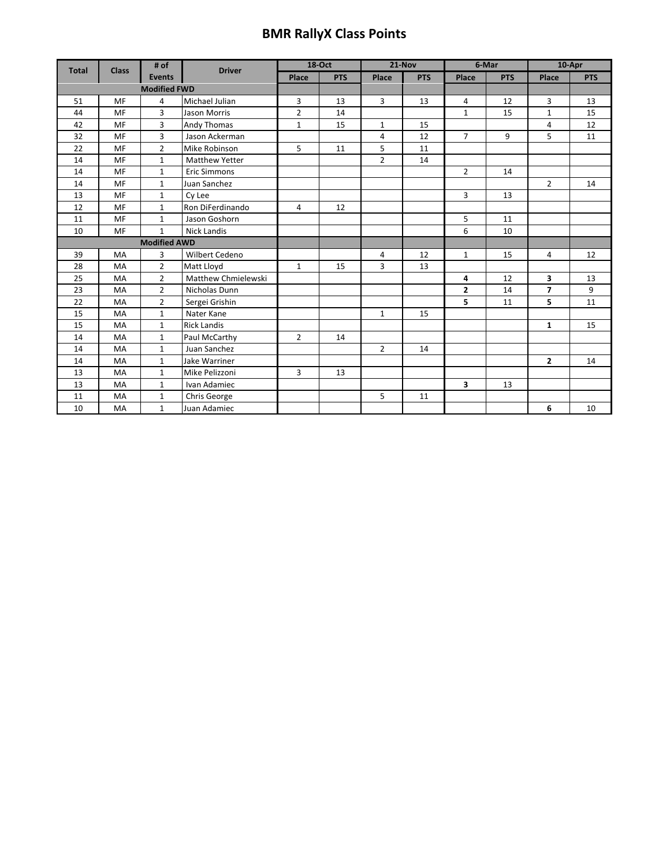## **BMR RallyX Class Points**

| <b>Total</b> | <b>Class</b> | # of                | <b>Driver</b>         |                | <b>18-Oct</b> | 21-Nov         |            | 6-Mar          |            | 10-Apr         |            |
|--------------|--------------|---------------------|-----------------------|----------------|---------------|----------------|------------|----------------|------------|----------------|------------|
|              |              | <b>Events</b>       |                       | Place          | <b>PTS</b>    | Place          | <b>PTS</b> | Place          | <b>PTS</b> | Place          | <b>PTS</b> |
|              |              | <b>Modified FWD</b> |                       |                |               |                |            |                |            |                |            |
| 51           | <b>MF</b>    | 4                   | Michael Julian        | 3              | 13            | 3              | 13         | 4              | 12         | 3              | 13         |
| 44           | <b>MF</b>    | 3                   | <b>Jason Morris</b>   | $\overline{2}$ | 14            |                |            | $\mathbf{1}$   | 15         | $\mathbf{1}$   | 15         |
| 42           | <b>MF</b>    | 3                   | Andy Thomas           | $\mathbf{1}$   | 15            | $\mathbf{1}$   | 15         |                |            | 4              | 12         |
| 32           | <b>MF</b>    | $\overline{3}$      | Jason Ackerman        |                |               | 4              | 12         | $\overline{7}$ | 9          | 5              | 11         |
| 22           | <b>MF</b>    | $\overline{2}$      | Mike Robinson         | 5              | 11            | 5              | 11         |                |            |                |            |
| 14           | MF           | $\mathbf{1}$        | <b>Matthew Yetter</b> |                |               | $\overline{2}$ | 14         |                |            |                |            |
| 14           | <b>MF</b>    | $\mathbf{1}$        | <b>Eric Simmons</b>   |                |               |                |            | $\overline{2}$ | 14         |                |            |
| 14           | <b>MF</b>    | $\mathbf{1}$        | Juan Sanchez          |                |               |                |            |                |            | $\overline{2}$ | 14         |
| 13           | <b>MF</b>    | $\mathbf{1}$        | Cy Lee                |                |               |                |            | 3              | 13         |                |            |
| 12           | <b>MF</b>    | $\mathbf{1}$        | Ron DiFerdinando      | $\overline{4}$ | 12            |                |            |                |            |                |            |
| 11           | <b>MF</b>    | $\mathbf{1}$        | Jason Goshorn         |                |               |                |            | 5              | 11         |                |            |
| 10           | <b>MF</b>    | $\mathbf{1}$        | Nick Landis           |                |               |                |            | 6              | 10         |                |            |
|              |              | <b>Modified AWD</b> |                       |                |               |                |            |                |            |                |            |
| 39           | <b>MA</b>    | 3                   | Wilbert Cedeno        |                |               | 4              | 12         | $\mathbf{1}$   | 15         | 4              | 12         |
| 28           | <b>MA</b>    | $\overline{2}$      | Matt Lloyd            | $\mathbf{1}$   | 15            | 3              | 13         |                |            |                |            |
| 25           | <b>MA</b>    | $\overline{2}$      | Matthew Chmielewski   |                |               |                |            | 4              | 12         | 3              | 13         |
| 23           | <b>MA</b>    | $\overline{2}$      | Nicholas Dunn         |                |               |                |            | $\overline{2}$ | 14         | $\overline{7}$ | 9          |
| 22           | MA           | $\overline{2}$      | Sergei Grishin        |                |               |                |            | 5              | 11         | 5              | 11         |
| 15           | MA           | $\mathbf{1}$        | Nater Kane            |                |               | $\mathbf{1}$   | 15         |                |            |                |            |
| 15           | <b>MA</b>    | $\mathbf{1}$        | <b>Rick Landis</b>    |                |               |                |            |                |            | $\mathbf{1}$   | 15         |
| 14           | <b>MA</b>    | $\mathbf{1}$        | Paul McCarthy         | $\overline{2}$ | 14            |                |            |                |            |                |            |
| 14           | <b>MA</b>    | $\mathbf{1}$        | Juan Sanchez          |                |               | $\overline{2}$ | 14         |                |            |                |            |
| 14           | MA           | $\mathbf{1}$        | Jake Warriner         |                |               |                |            |                |            | $\overline{2}$ | 14         |
| 13           | <b>MA</b>    | $\mathbf{1}$        | Mike Pelizzoni        | 3              | 13            |                |            |                |            |                |            |
| 13           | MA           | $\mathbf{1}$        | Ivan Adamiec          |                |               |                |            | 3              | 13         |                |            |
| 11           | MA           | $\mathbf 1$         | Chris George          |                |               | 5              | 11         |                |            |                |            |
| 10           | <b>MA</b>    | $\mathbf{1}$        | Juan Adamiec          |                |               |                |            |                |            | 6              | 10         |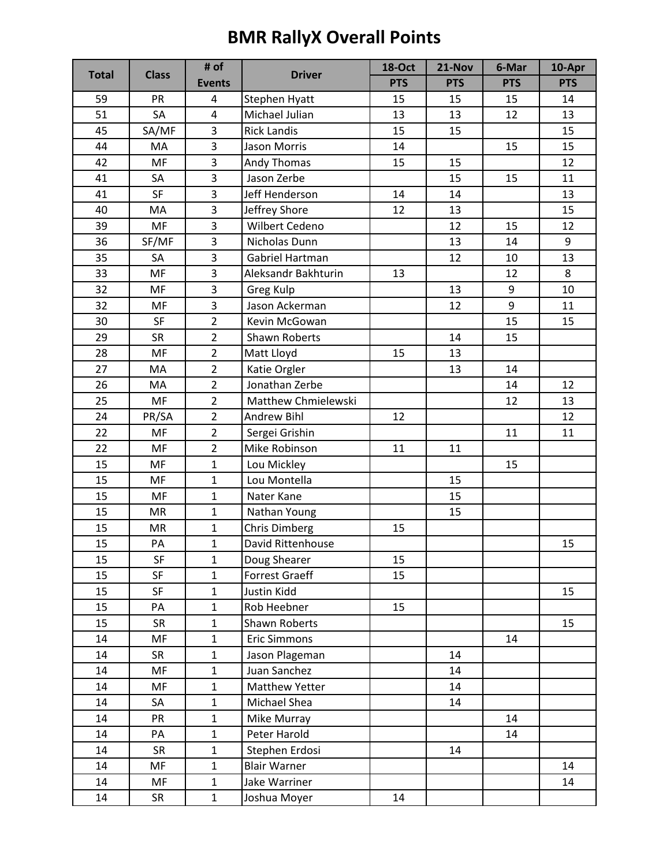## **BMR RallyX Overall Points**

| <b>Total</b> | <b>Class</b> | # of                    | <b>Driver</b>        | <b>18-Oct</b> | 21-Nov     | 6-Mar      | 10-Apr     |
|--------------|--------------|-------------------------|----------------------|---------------|------------|------------|------------|
|              |              | <b>Events</b>           |                      | <b>PTS</b>    | <b>PTS</b> | <b>PTS</b> | <b>PTS</b> |
| 59           | PR           | 4                       | <b>Stephen Hyatt</b> | 15            | 15         | 15         | 14         |
| 51           | SA           | 4                       | Michael Julian       | 13            | 13         | 12         | 13         |
| 45           | SA/MF        | 3                       | <b>Rick Landis</b>   | 15            | 15         |            | 15         |
| 44           | MA           | $\overline{3}$          | Jason Morris         | 14            |            | 15         | 15         |
| 42           | MF           | 3                       | Andy Thomas          | 15            | 15         |            | 12         |
| 41           | SA           | 3                       | Jason Zerbe          |               | 15         | 15         | 11         |
| 41           | SF           | 3                       | Jeff Henderson       | 14            | 14         |            | 13         |
| 40           | MA           | 3                       | Jeffrey Shore        | 12            | 13         |            | 15         |
| 39           | MF           | 3                       | Wilbert Cedeno       |               | 12         | 15         | 12         |
| 36           | SF/MF        | $\overline{\mathbf{3}}$ | Nicholas Dunn        |               | 13         | 14         | 9          |
| 35           | SA           | 3                       | Gabriel Hartman      |               | 12         | 10         | 13         |
| 33           | MF           | 3                       | Aleksandr Bakhturin  | 13            |            | 12         | 8          |
| 32           | MF           | 3                       | Greg Kulp            |               | 13         | 9          | 10         |
| 32           | MF           | 3                       | Jason Ackerman       |               | 12         | 9          | 11         |
| 30           | SF           | $\overline{2}$          | Kevin McGowan        |               |            | 15         | 15         |
| 29           | <b>SR</b>    | $\overline{2}$          | <b>Shawn Roberts</b> |               | 14         | 15         |            |
| 28           | MF           | $\overline{2}$          | Matt Lloyd           | 15            | 13         |            |            |
| 27           | MA           | $\overline{2}$          | Katie Orgler         |               | 13         | 14         |            |
| 26           | MA           | $\overline{2}$          | Jonathan Zerbe       |               |            | 14         | 12         |
| 25           | MF           | $\overline{2}$          | Matthew Chmielewski  |               |            | 12         | 13         |
| 24           | PR/SA        | $\overline{2}$          | <b>Andrew Bihl</b>   | 12            |            |            | 12         |
| 22           | MF           | $\overline{2}$          | Sergei Grishin       |               |            | 11         | 11         |
| 22           | MF           | $\overline{2}$          | Mike Robinson        | 11            | 11         |            |            |
| 15           | MF           | $\mathbf{1}$            | Lou Mickley          |               |            | 15         |            |
| 15           | MF           | $\mathbf{1}$            | Lou Montella         |               | 15         |            |            |
| 15           | MF           | $\mathbf{1}$            | Nater Kane           |               | 15         |            |            |
| 15           | <b>MR</b>    | $\mathbf{1}$            | Nathan Young         |               | 15         |            |            |
| 15           | MR           | $\mathbf{1}$            | Chris Dimberg        | 15            |            |            |            |
| 15           | PA           | $\mathbf{1}$            | David Rittenhouse    |               |            |            | 15         |
| 15           | SF           | $\mathbf{1}$            | Doug Shearer         | 15            |            |            |            |
| 15           | SF           | $\mathbf{1}$            | Forrest Graeff       | 15            |            |            |            |
| 15           | SF           | $\mathbf{1}$            | Justin Kidd          |               |            |            | 15         |
| 15           | PA           | $\mathbf{1}$            | Rob Heebner          | 15            |            |            |            |
| 15           | SR           | $\mathbf{1}$            | Shawn Roberts        |               |            |            | 15         |
| 14           | MF           | $\mathbf{1}$            | <b>Eric Simmons</b>  |               |            | 14         |            |
| 14           | <b>SR</b>    | $\mathbf 1$             | Jason Plageman       |               | 14         |            |            |
| 14           | MF           | $\mathbf 1$             | Juan Sanchez         |               | 14         |            |            |
| 14           | MF           | $\mathbf{1}$            | Matthew Yetter       |               | 14         |            |            |
| 14           | SA           | $\mathbf{1}$            | Michael Shea         |               | 14         |            |            |
| 14           | PR           | $\mathbf{1}$            | Mike Murray          |               |            | 14         |            |
| 14           | PA           | $\mathbf{1}$            | Peter Harold         |               |            | 14         |            |
| 14           | <b>SR</b>    | $\mathbf 1$             | Stephen Erdosi       |               | 14         |            |            |
| 14           | MF           | $\mathbf{1}$            | <b>Blair Warner</b>  |               |            |            | 14         |
| 14           | MF           | $\mathbf{1}$            | Jake Warriner        |               |            |            | 14         |
| 14           | SR           | $\mathbf{1}$            | Joshua Moyer         | 14            |            |            |            |